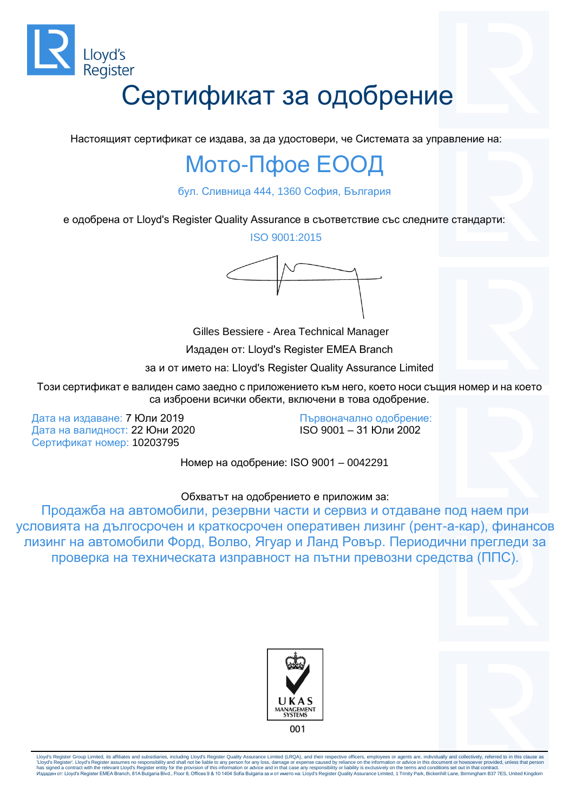

Настоящият сертификат се издава, за да удостовери, че Системата за управление на:

#### Мото-Пфое ЕООД

бул. Сливница 444, 1360 София, България

е одобрена от Lloyd's Register Quality Assurance в съответствие със следните стандарти:

ISO 9001:2015

Gilles Bessiere - Area Technical Manager

Издаден от: Lloyd's Register EMEA Branch

за и от името на: Lloyd's Register Quality Assurance Limited

Този сертификат е валиден само заедно с приложението към него, което носи същия номер и на което са изброени всички обекти, включени в това одобрение.

Дата на издаване: 7 Юли 2019 Дата на валидност: 22 Юни 2020 Сертификат номер: 10203795

Първоначално одобрение: ISO 9001 – 31 Юли 2002

Номер на одобрение: ISO 9001 – 0042291

#### Обхватът на одобрението е приложим за:

Продажба на автомобили, резервни части и сервиз и отдаване под наем при условията на дългосрочен и краткосрочен оперативен лизинг (рент-а-кар), финансов лизинг на автомобили Форд, Волво, Ягуар и Ланд Ровър. Периодични прегледи за проверка на техническата изправност на пътни превозни средства (ППС).



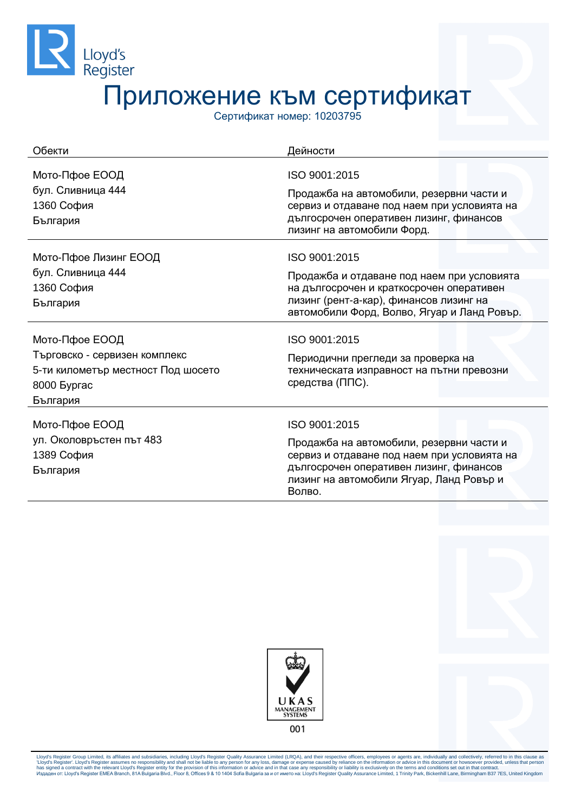

Сертификат номер: 10203795

| Обекти                                                                                         | Дейности                                                                                                                                                                                 |
|------------------------------------------------------------------------------------------------|------------------------------------------------------------------------------------------------------------------------------------------------------------------------------------------|
| Мото-Пфое ЕООД<br>бул. Сливница 444<br>1360 София<br>България                                  | ISO 9001:2015<br>Продажба на автомобили, резервни части и<br>сервиз и отдаване под наем при условията на<br>дългосрочен оперативен лизинг, финансов<br>лизинг на автомобили Форд.        |
| Мото-Пфое Лизинг ЕООД                                                                          | ISO 9001:2015                                                                                                                                                                            |
| бул. Сливница 444<br>1360 София<br>България                                                    | Продажба и отдаване под наем при условията<br>на дългосрочен и краткосрочен оперативен<br>лизинг (рент-а-кар), финансов лизинг на<br>автомобили Форд, Волво, Ягуар и Ланд Ровър.         |
| Мото-Пфое ЕООД                                                                                 | ISO 9001:2015                                                                                                                                                                            |
| Търговско - сервизен комплекс<br>5-ти километър местност Под шосето<br>8000 Byprac<br>България | Периодични прегледи за проверка на<br>техническата изправност на пътни превозни<br>средства (ППС).                                                                                       |
| Мото-Пфое ЕООД                                                                                 | ISO 9001:2015                                                                                                                                                                            |
| ул. Околовръстен път 483<br>1389 София<br>България                                             | Продажба на автомобили, резервни части и<br>сервиз и отдаване под наем при условията на<br>дългосрочен оперативен лизинг, финансов<br>лизинг на автомобили Ягуар, Ланд Ровър и<br>Волво. |



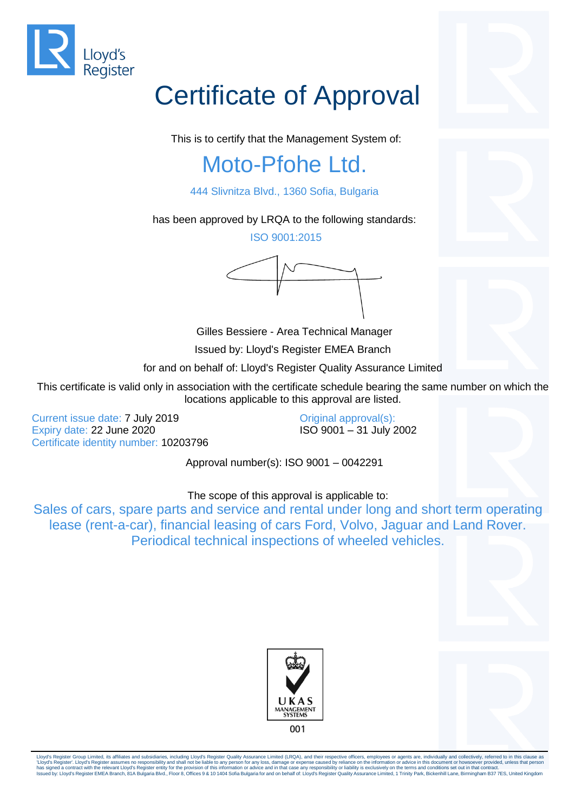

This is to certify that the Management System of:

### Moto-Pfohe Ltd.

444 Slivnitza Blvd., 1360 Sofia, Bulgaria

has been approved by LRQA to the following standards:

ISO 9001:2015

Gilles Bessiere - Area Technical Manager

Issued by: Lloyd's Register EMEA Branch

for and on behalf of: Lloyd's Register Quality Assurance Limited

This certificate is valid only in association with the certificate schedule bearing the same number on which the locations applicable to this approval are listed.

Current issue date: 7 July 2019 Expiry date: 22 June 2020 Certificate identity number: 10203796

Original approval(s): ISO 9001 – 31 July 2002

Approval number(s): ISO 9001 – 0042291

The scope of this approval is applicable to:

Sales of cars, spare parts and service and rental under long and short term operating lease (rent-a-car), financial leasing of cars Ford, Volvo, Jaguar and Land Rover. Periodical technical inspections of wheeled vehicles.







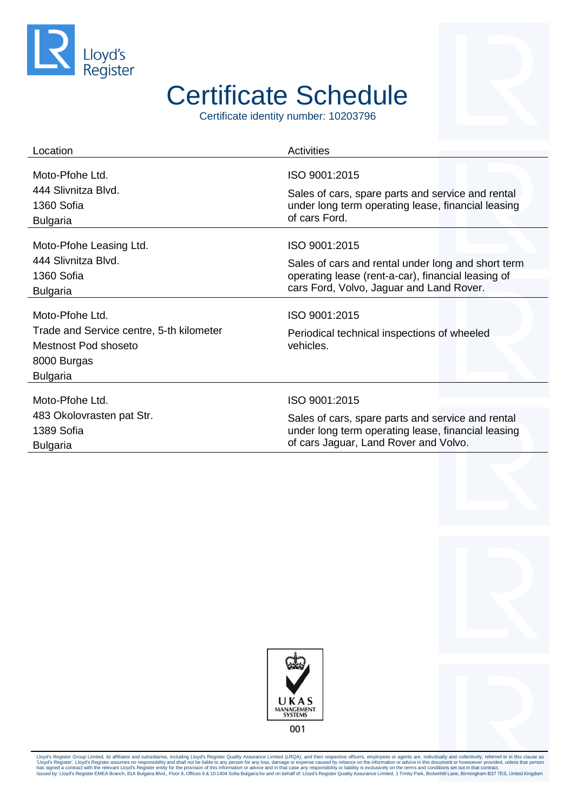

## Certificate Schedule

Certificate identity number: 10203796

| Location                                                                                                              | <b>Activities</b>                                                         |
|-----------------------------------------------------------------------------------------------------------------------|---------------------------------------------------------------------------|
| Moto-Pfohe Ltd.                                                                                                       | ISO 9001:2015                                                             |
| 444 Slivnitza Blvd.                                                                                                   | Sales of cars, spare parts and service and rental                         |
| 1360 Sofia                                                                                                            | under long term operating lease, financial leasing                        |
| <b>Bulgaria</b>                                                                                                       | of cars Ford.                                                             |
| Moto-Pfohe Leasing Ltd.                                                                                               | ISO 9001:2015                                                             |
| 444 Slivnitza Blvd.                                                                                                   | Sales of cars and rental under long and short term                        |
| 1360 Sofia                                                                                                            | operating lease (rent-a-car), financial leasing of                        |
| <b>Bulgaria</b>                                                                                                       | cars Ford, Volvo, Jaguar and Land Rover.                                  |
| Moto-Pfohe Ltd.<br>Trade and Service centre, 5-th kilometer<br>Mestnost Pod shoseto<br>8000 Burgas<br><b>Bulgaria</b> | ISO 9001:2015<br>Periodical technical inspections of wheeled<br>vehicles. |
| Moto-Pfohe Ltd.                                                                                                       | ISO 9001:2015                                                             |
| 483 Okolovrasten pat Str.                                                                                             | Sales of cars, spare parts and service and rental                         |
| 1389 Sofia                                                                                                            | under long term operating lease, financial leasing                        |
| <b>Bulgaria</b>                                                                                                       | of cars Jaguar, Land Rover and Volvo.                                     |



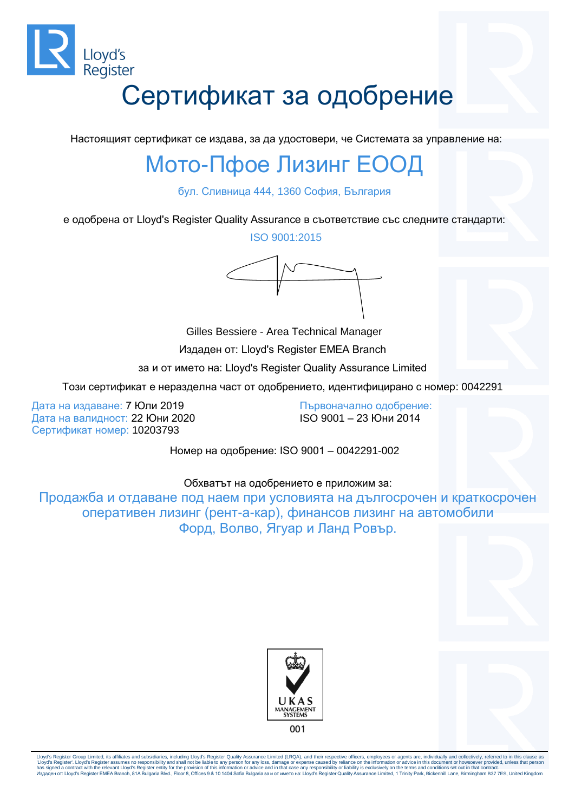

Настоящият сертификат се издава, за да удостовери, че Системата за управление на:

## Мото-Пфое Лизинг ЕООД

бул. Сливница 444, 1360 София, България

е одобрена от Lloyd's Register Quality Assurance в съответствие със следните стандарти:

ISO 9001:2015



Gilles Bessiere - Area Technical Manager Издаден от: Lloyd's Register EMEA Branch за и от името на: Lloyd's Register Quality Assurance Limited

Този сертификат е неразделна част от одобрението, идентифицирано с номер: 0042291

Дата на издаване: 7 Юли 2019 Дата на валидност: 22 Юни 2020 Сертификат номер: 10203793

Първоначално одобрение: ISO 9001 – 23 Юни 2014

Номер на одобрение: ISO 9001 – 0042291-002

#### Обхватът на одобрението е приложим за:

Продажба и отдаване под наем при условията на дългосрочен и краткосрочен оперативен лизинг (рент-а-кар), финансов лизинг на автомобили Форд, Волво, Ягуар и Ланд Ровър.



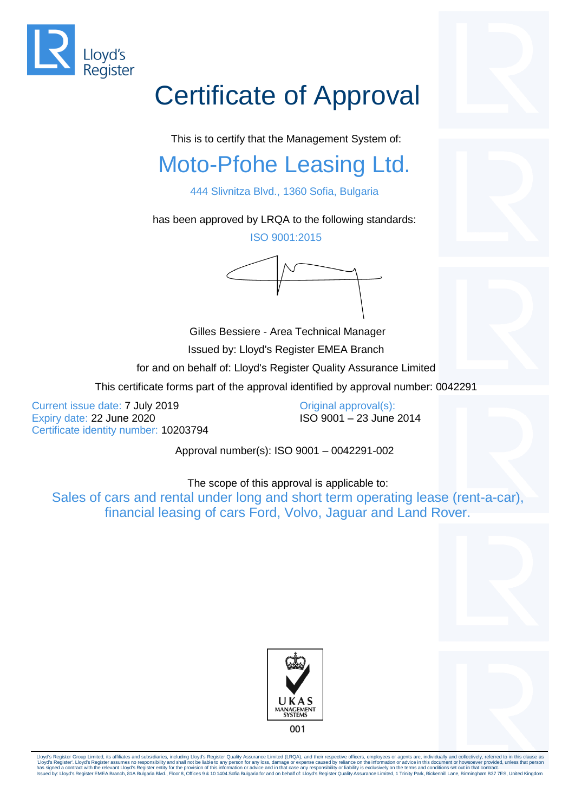

This is to certify that the Management System of:

## Moto-Pfohe Leasing Ltd.

444 Slivnitza Blvd., 1360 Sofia, Bulgaria

has been approved by LRQA to the following standards:

ISO 9001:2015

Gilles Bessiere - Area Technical Manager Issued by: Lloyd's Register EMEA Branch for and on behalf of: Lloyd's Register Quality Assurance Limited This certificate forms part of the approval identified by approval number: 0042291

Current issue date: 7 July 2019 Expiry date: 22 June 2020 Certificate identity number: 10203794

Original approval(s): ISO 9001 – 23 June 2014

Approval number(s): ISO 9001 – 0042291-002

The scope of this approval is applicable to:

Sales of cars and rental under long and short term operating lease (rent-a-car), financial leasing of cars Ford, Volvo, Jaguar and Land Rover.





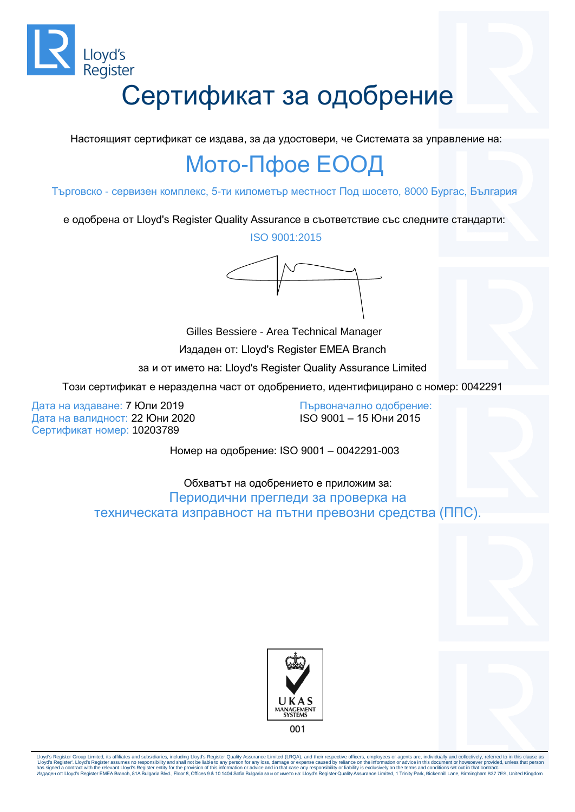

Настоящият сертификат се издава, за да удостовери, че Системата за управление на:

## Мото-Пфое ЕООД

Търговско - сервизен комплекс, 5-ти километър местност Под шосето, 8000 Бургас, България

е одобрена от Lloyd's Register Quality Assurance в съответствие със следните стандарти:

ISO 9001:2015

Gilles Bessiere - Area Technical Manager Издаден от: Lloyd's Register EMEA Branch за и от името на: Lloyd's Register Quality Assurance Limited

Този сертификат е неразделна част от одобрението, идентифицирано с номер: 0042291

Дата на издаване: 7 Юли 2019 Дата на валидност: 22 Юни 2020 Сертификат номер: 10203789

Първоначално одобрение: ISO 9001 – 15 Юни 2015

Номер на одобрение: ISO 9001 – 0042291-003

Обхватът на одобрението е приложим за: Периодични прегледи за проверка на техническата изправност на пътни превозни средства (ППС).



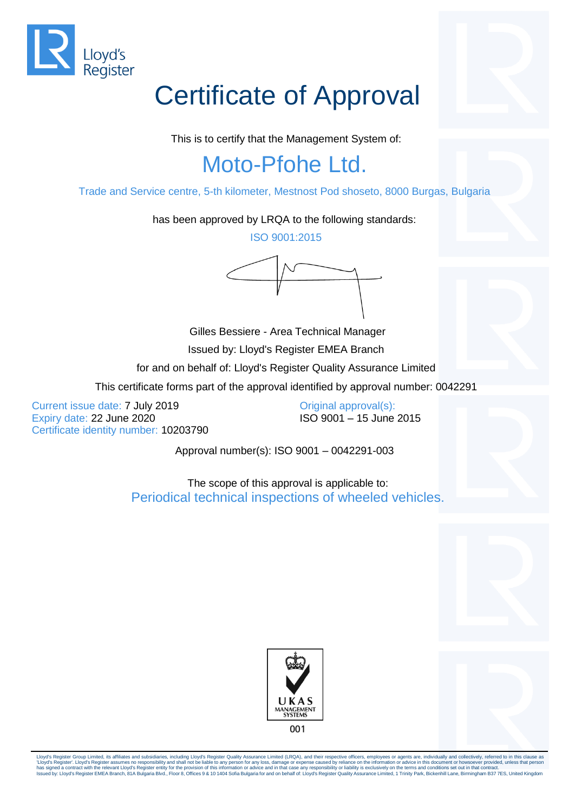

This is to certify that the Management System of:

## Moto-Pfohe Ltd.

Trade and Service centre, 5-th kilometer, Mestnost Pod shoseto, 8000 Burgas, Bulgaria

has been approved by LRQA to the following standards:

ISO 9001:2015

Gilles Bessiere - Area Technical Manager Issued by: Lloyd's Register EMEA Branch for and on behalf of: Lloyd's Register Quality Assurance Limited This certificate forms part of the approval identified by approval number: 0042291

Current issue date: 7 July 2019 Expiry date: 22 June 2020 Certificate identity number: 10203790 Original approval(s): ISO 9001 – 15 June 2015

Approval number(s): ISO 9001 – 0042291-003

The scope of this approval is applicable to: Periodical technical inspections of wheeled vehicles.



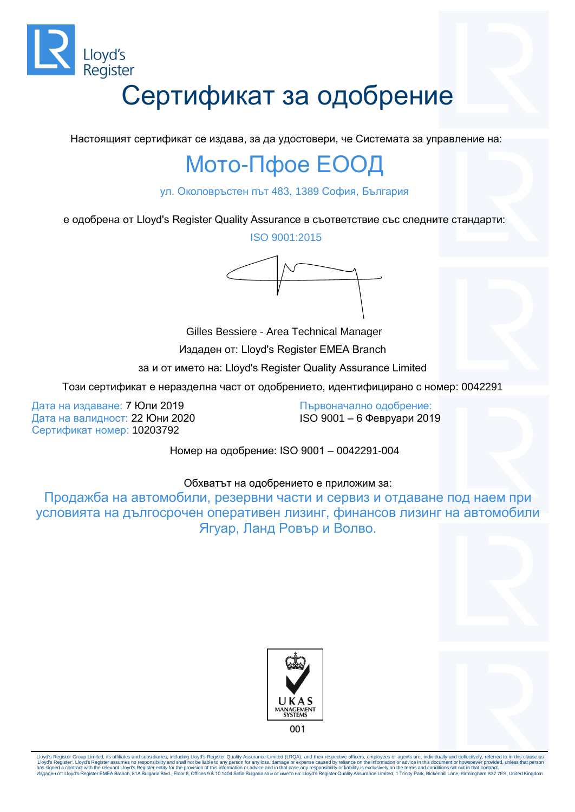

Настоящият сертификат се издава, за да удостовери, че Системата за управление на:

### Мото-Пфое ЕООД

ул. Околовръстен път 483, 1389 София, България

е одобрена от Lloyd's Register Quality Assurance в съответствие със следните стандарти:

ISO 9001:2015

Gilles Bessiere - Area Technical Manager Издаден от: Lloyd's Register EMEA Branch за и от името на: Lloyd's Register Quality Assurance Limited

Този сертификат е неразделна част от одобрението, идентифицирано с номер: 0042291

Дата на издаване: 7 Юли 2019 Дата на валидност: 22 Юни 2020 Сертификат номер: 10203792

Първоначално одобрение: ISO 9001 – 6 Февруари 2019

Номер на одобрение: ISO 9001 – 0042291-004

#### Обхватът на одобрението е приложим за:

Продажба на автомобили, резервни части и сервиз и отдаване под наем при условията на дългосрочен оперативен лизинг, финансов лизинг на автомобили Ягуар, Ланд Ровър и Волво.



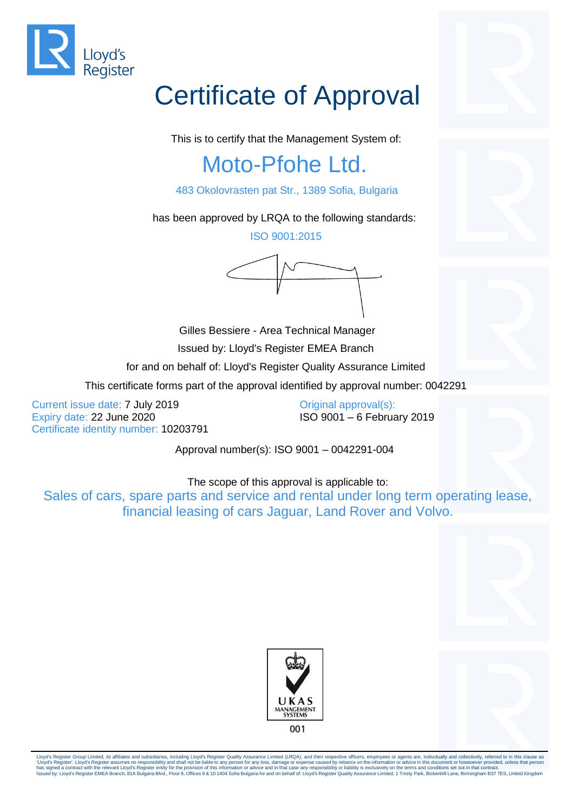

This is to certify that the Management System of:

## Moto-Pfohe Ltd.

483 Okolovrasten pat Str., 1389 Sofia, Bulgaria

has been approved by LRQA to the following standards:

ISO 9001:2015

Gilles Bessiere - Area Technical Manager Issued by: Lloyd's Register EMEA Branch for and on behalf of: Lloyd's Register Quality Assurance Limited

This certificate forms part of the approval identified by approval number: 0042291

Current issue date: 7 July 2019 Expiry date: 22 June 2020 Certificate identity number: 10203791 Original approval(s): ISO 9001 – 6 February 2019

Approval number(s): ISO 9001 – 0042291-004

The scope of this approval is applicable to:

Sales of cars, spare parts and service and rental under long term operating lease, financial leasing of cars Jaguar, Land Rover and Volvo.



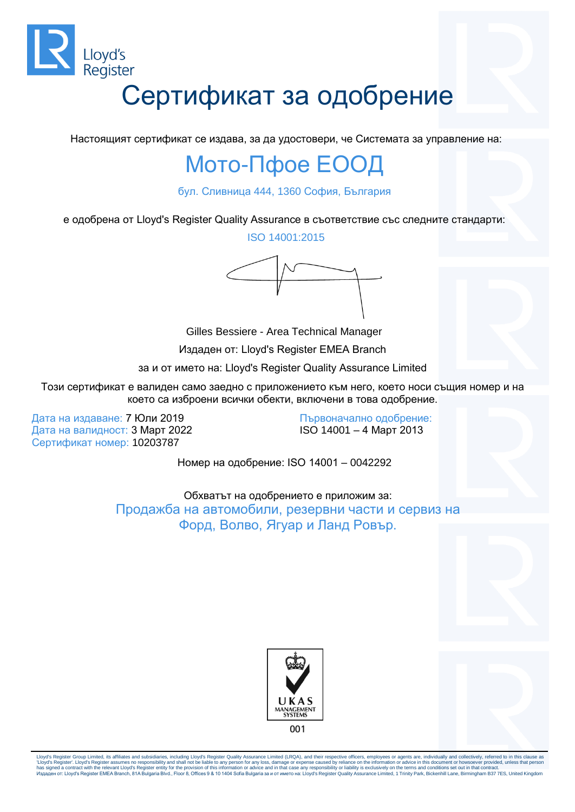

Настоящият сертификат се издава, за да удостовери, че Системата за управление на:

#### Мото-Пфое ЕООД

бул. Сливница 444, 1360 София, България

е одобрена от Lloyd's Register Quality Assurance в съответствие със следните стандарти:

ISO 14001:2015

Gilles Bessiere - Area Technical Manager Издаден от: Lloyd's Register EMEA Branch

за и от името на: Lloyd's Register Quality Assurance Limited

Този сертификат е валиден само заедно с приложението към него, което носи същия номер и на което са изброени всички обекти, включени в това одобрение.

Дата на издаване: 7 Юли 2019 Дата на валидност: 3 Март 2022 Сертификат номер: 10203787

Първоначално одобрение: ISO 14001 – 4 Март 2013

Номер на одобрение: ISO 14001 – 0042292

Обхватът на одобрението е приложим за: Продажба на автомобили, резервни части и сервиз на Форд, Волво, Ягуар и Ланд Ровър.



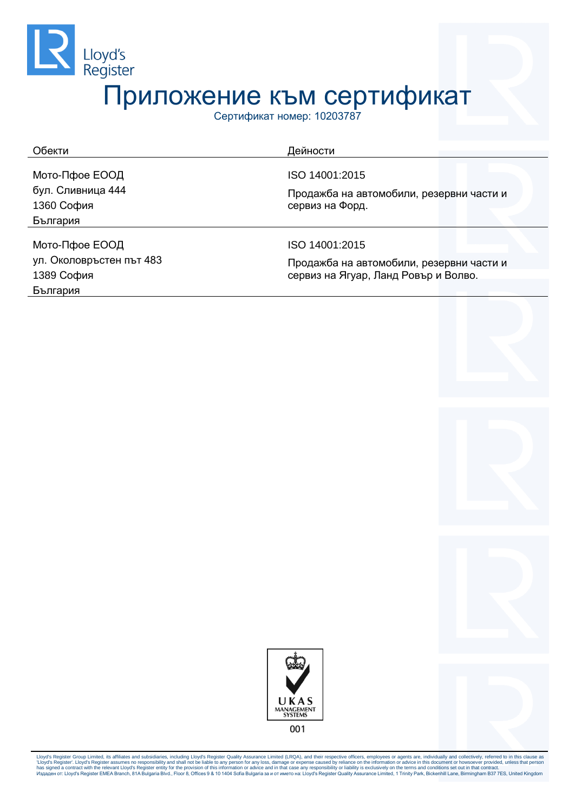

Сертификат номер: 10203787

| Обекти<br>Дейности              |                                                             |
|---------------------------------|-------------------------------------------------------------|
| Мото-Пфое ЕООД                  | ISO 14001:2015                                              |
| бул. Сливница 444<br>1360 София | Продажба на автомобили, резервни части и<br>сервиз на Форд. |
| България                        |                                                             |
| Мото-Пфое ЕООД                  | ISO 14001:2015                                              |
| ул. Околовръстен път 483        | Продажба на автомобили, резервни части и                    |
| 1389 София                      | сервиз на Ягуар, Ланд Ровър и Волво.                        |
| България                        |                                                             |



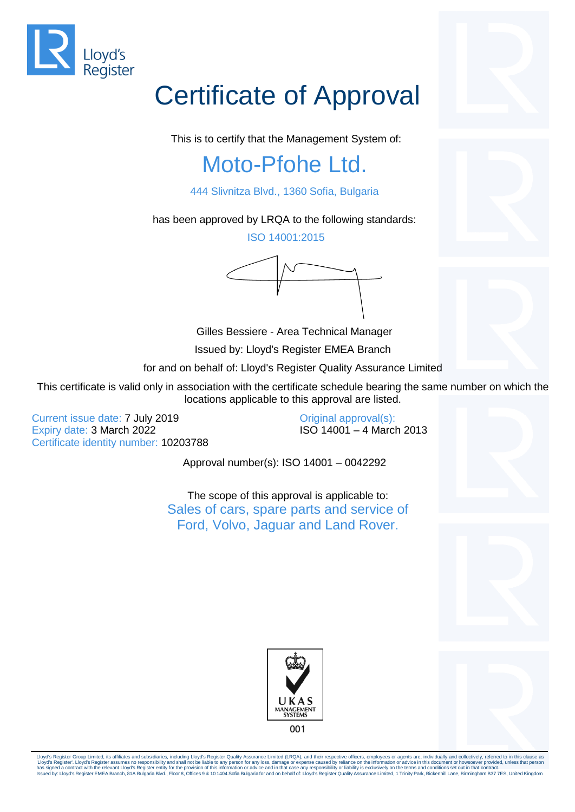

This is to certify that the Management System of:

## Moto-Pfohe Ltd.

444 Slivnitza Blvd., 1360 Sofia, Bulgaria

has been approved by LRQA to the following standards:

ISO 14001:2015

Gilles Bessiere - Area Technical Manager

Issued by: Lloyd's Register EMEA Branch

for and on behalf of: Lloyd's Register Quality Assurance Limited

This certificate is valid only in association with the certificate schedule bearing the same number on which the locations applicable to this approval are listed.

Current issue date: 7 July 2019 Expiry date: 3 March 2022 Certificate identity number: 10203788 Original approval(s): ISO 14001 – 4 March 2013

Approval number(s): ISO 14001 – 0042292

The scope of this approval is applicable to: Sales of cars, spare parts and service of Ford, Volvo, Jaguar and Land Rover.









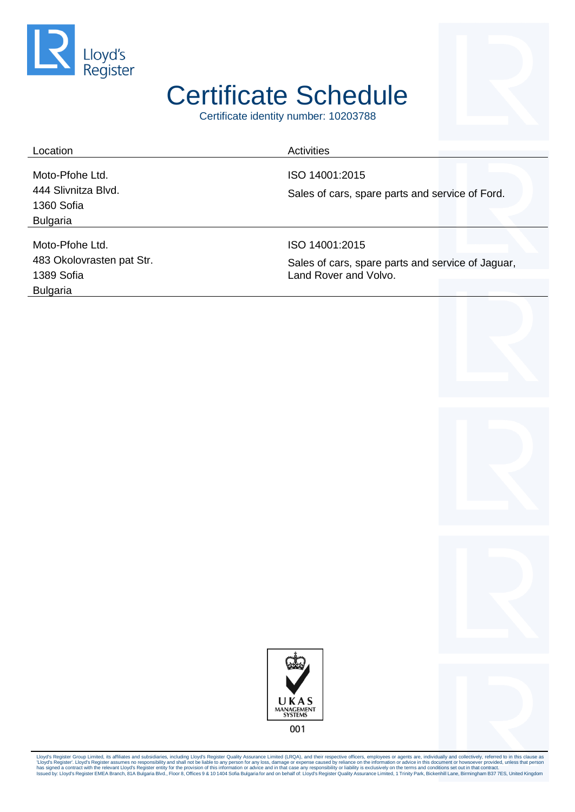

## Certificate Schedule

Certificate identity number: 10203788

| Location                  | Activities                                                                 |
|---------------------------|----------------------------------------------------------------------------|
|                           |                                                                            |
| Moto-Pfohe Ltd.           | ISO 14001:2015                                                             |
| 444 Slivnitza Blvd.       | Sales of cars, spare parts and service of Ford.                            |
| 1360 Sofia                |                                                                            |
| <b>Bulgaria</b>           |                                                                            |
|                           |                                                                            |
| Moto-Pfohe Ltd.           | ISO 14001:2015                                                             |
| 483 Okolovrasten pat Str. | Sales of cars, spare parts and service of Jaguar,<br>Land Rover and Volvo. |
| 1389 Sofia                |                                                                            |
| <b>Bulgaria</b>           |                                                                            |



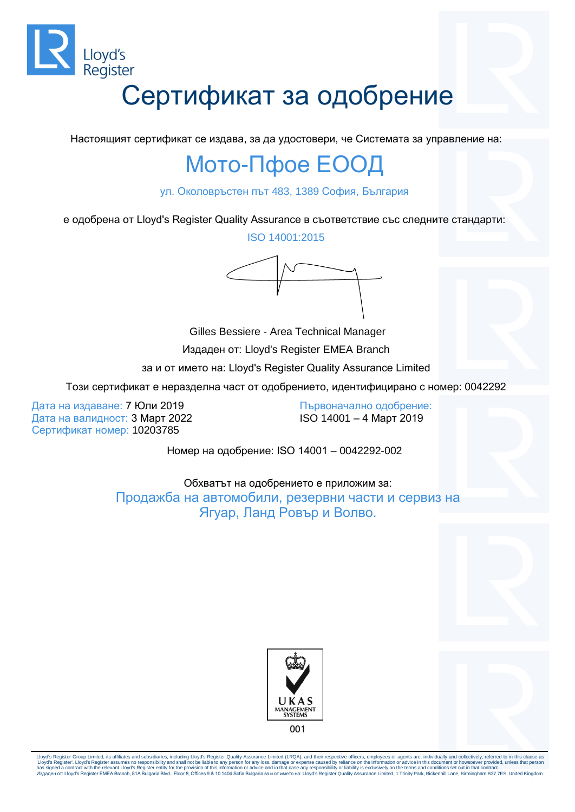

Настоящият сертификат се издава, за да удостовери, че Системата за управление на:

### Мото-Пфое ЕООД

ул. Околовръстен път 483, 1389 София, България

е одобрена от Lloyd's Register Quality Assurance в съответствие със следните стандарти:

ISO 14001:2015

Gilles Bessiere - Area Technical Manager Издаден от: Lloyd's Register EMEA Branch за и от името на: Lloyd's Register Quality Assurance Limited

Този сертификат е неразделна част от одобрението, идентифицирано с номер: 0042292

Дата на издаване: 7 Юли 2019 Дата на валидност: 3 Март 2022 Сертификат номер: 10203785

Първоначално одобрение: ISO 14001 – 4 Март 2019

Номер на одобрение: ISO 14001 – 0042292-002

Обхватът на одобрението е приложим за: Продажба на автомобили, резервни части и сервиз на Ягуар, Ланд Ровър и Волво.